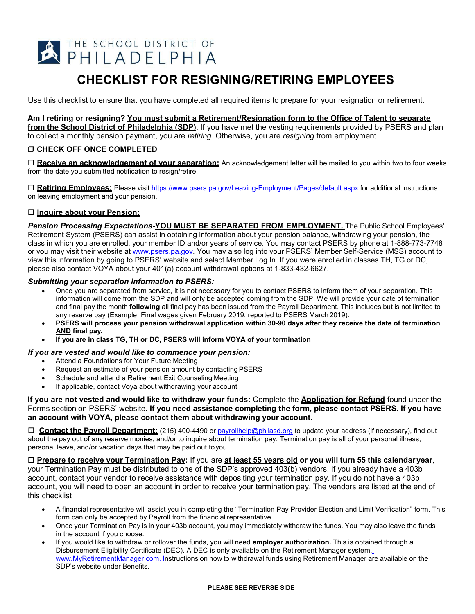

# **CHECKLIST FOR RESIGNING/RETIRING EMPLOYEES**

Use this checklist to ensure that you have completed all required items to prepare for your resignation or retirement.

### **Am I retiring or resigning? You must submit a Retirement/Resignation form to the Office of Talent to separate from the School District of Philadelphia (SDP)**. If you have met the vesting requirements provided by PSERS and plan to collect a monthly pension payment, you are *retiring*. Otherwise, you are *resigning* from employment.

## **CHECK OFF ONCE COMPLETED**

 **Receive an acknowledgement of your separation:** An acknowledgement letter will be mailed to you within two to four weeks from the date you submitted notification to resign/retire.

 **Retiring Employees:** Please visit [https://www.psers.pa.gov/Leaving-Employment/Pages/default.aspx fo](https://www.psers.pa.gov/Leaving-Employment/Pages/default.aspx)r additional instructions on leaving employment and your pension.

#### **Inquire about your Pension:**

*Pension Processing Expectations-***YOU MUST BE SEPARATED FROM EMPLOYMENT.** The Public School Employees' Retirement System (PSERS) can assist in obtaining information about your pension balance, withdrawing your pension, the class in which you are enrolled, your member ID and/or years of service. You may contact PSERS by phone at 1-888-773-7748 or you may visit their website at [www.psers.pa.gov. Y](http://www.psers.pa.gov/)ou may also log into your PSERS' Member Self-Service (MSS) account to view this information by going to PSERS' website and select Member Log In. If you were enrolled in classes TH, TG or DC, please also contact VOYA about your 401(a) account withdrawal options at 1-833-432-6627.

#### *Submitting your separation information to PSERS:*

- Once you are separated from service, it is not necessary for you to contact PSERS to inform them of your separation. This information will come from the SDP and will only be accepted coming from the SDP. We will provide your date of termination and final pay the month **following** all final pay has been issued from the Payroll Department. This includes but is not limited to any reserve pay (Example: Final wages given February 2019, reported to PSERS March 2019).
- **PSERS will process your pension withdrawal application within 30-90 days after they receive the date of termination AND final pay.**
- **If you are in class TG, TH or DC, PSERS will inform VOYA of your termination**

#### *If you are vested and would like to commence your pension:*

- Attend a Foundations for Your Future Meeting
- Request an estimate of your pension amount by contacting PSERS
- Schedule and attend a Retirement Exit Counseling Meeting
- If applicable, contact Voya about withdrawing your account

**If you are not vested and would like to withdraw your funds:** Complete the **Application for Refund** found under the Forms section on PSERS' website**. If you need assistance completing the form, please contact PSERS. If you have an account with VOYA, please contact them about withdrawing your account.**

 **Contact the Payroll Department:** (215) 400-4490 or [payrollhelp@philasd.org](mailto:payrollhelp@philasd.org) to update your address (if necessary), find out about the pay out of any reserve monies, and/or to inquire about termination pay. Termination pay is all of your personal illness, personal leave, and/or vacation days that may be paid out toyou.

□ Prepare to receive your Termination Pay: If you are at least 55 years old or you will turn 55 this calendar year, your Termination Pay must be distributed to one of the SDP's approved 403(b) vendors. If you already have a 403b account, contact your vendor to receive assistance with depositing your termination pay. If you do not have a 403b account, you will need to open an account in order to receive your termination pay. The vendors are listed at the end of this checklist

- A financial representative will assist you in completing the "Termination Pay Provider Election and Limit Verification" form. This form can only be accepted by Payroll from the financial representative
- Once your Termination Pay is in your 403b account, you may immediately withdraw the funds. You may also leave the funds in the account if you choose.
- If you would like to withdraw or rollover the funds, you will need **employer authorization.** This is obtained through a Disbursement Eligibility Certificate (DEC). A DEC is only available on the Retirement Manager system, www.MyRetirementManager.com. Instructions on how to withdrawal funds using Retirement Manager are available on the SDP's website under Benefits.